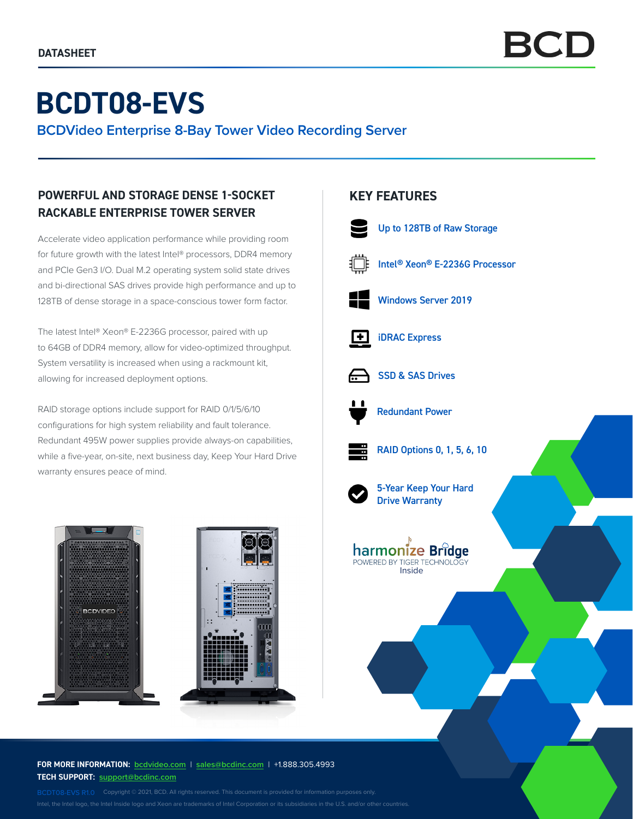# **BCDT08-EVS**

**BCDVideo Enterprise 8-Bay Tower Video Recording Server**

## **POWERFUL AND STORAGE DENSE 1-SOCKET RACKABLE ENTERPRISE TOWER SERVER**

Accelerate video application performance while providing room for future growth with the latest Intel® processors, DDR4 memory and PCIe Gen3 I/O. Dual M.2 operating system solid state drives and bi-directional SAS drives provide high performance and up to 128TB of dense storage in a space-conscious tower form factor.

The latest Intel® Xeon® E-2236G processor, paired with up to 64GB of DDR4 memory, allow for video-optimized throughput. System versatility is increased when using a rackmount kit, allowing for increased deployment options.

RAID storage options include support for RAID 0/1/5/6/10 configurations for high system reliability and fault tolerance. Redundant 495W power supplies provide always-on capabilities, while a five-year, on-site, next business day, Keep Your Hard Drive warranty ensures peace of mind.



**FOR MORE INFORMATION: bcdvideo[.com](http://bcdvideo.com)** | **[sales@bcdinc.com](mailto:sales%40bcdinc.com?subject=)** | +1.888.305.4993 **TECH SUPPORT: [support@bcdinc.com](mailto:support%40bcdinc.com?subject=)**

Intel, the Intel logo, the Intel Inside logo and Xeon are trademarks of Intel Corporation or its subsidiaries in the U.S. and/or other countries.

## **KEY FEATURES**